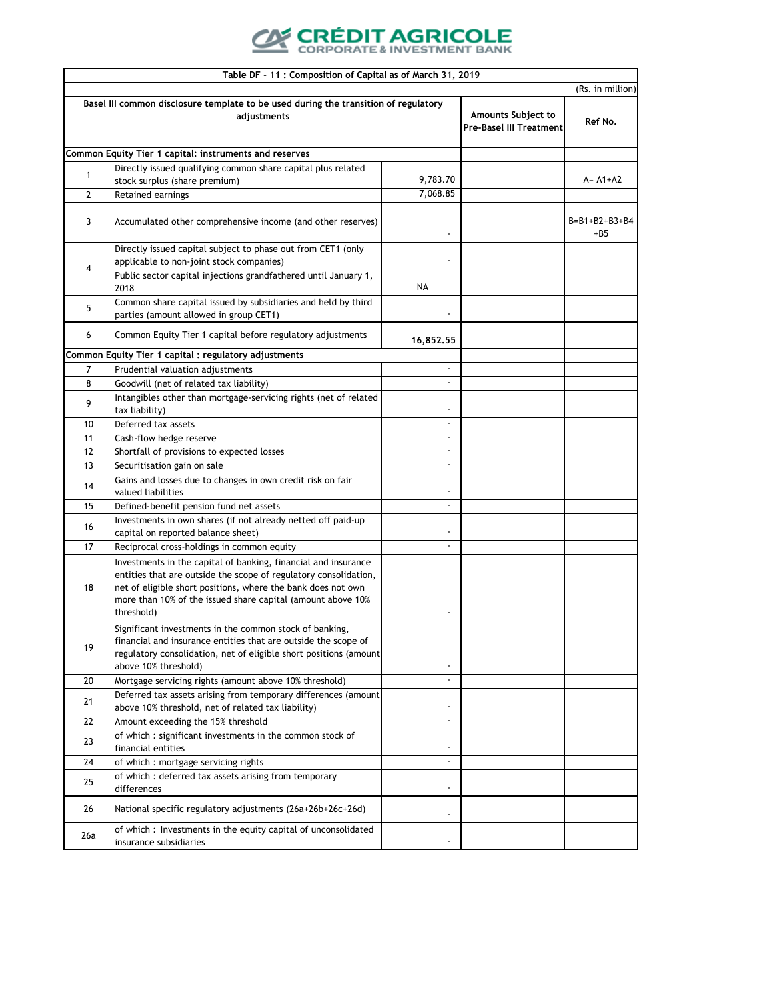## **CRÉDIT AGRICOLE**<br>CORPORATE & INVESTMENT BANK

|              | Table DF - 11 : Composition of Capital as of March 31, 2019                                                                                                                                                                                                                     |                                                             |         |                                  |
|--------------|---------------------------------------------------------------------------------------------------------------------------------------------------------------------------------------------------------------------------------------------------------------------------------|-------------------------------------------------------------|---------|----------------------------------|
|              |                                                                                                                                                                                                                                                                                 |                                                             |         | (Rs. in million)                 |
|              | Basel III common disclosure template to be used during the transition of regulatory<br>adjustments                                                                                                                                                                              | <b>Amounts Subject to</b><br><b>Pre-Basel III Treatment</b> | Ref No. |                                  |
|              | Common Equity Tier 1 capital: instruments and reserves                                                                                                                                                                                                                          |                                                             |         |                                  |
|              | Directly issued qualifying common share capital plus related                                                                                                                                                                                                                    |                                                             |         |                                  |
| $\mathbf{1}$ | stock surplus (share premium)                                                                                                                                                                                                                                                   | 9,783.70                                                    |         | $A = A1 + A2$                    |
| 2            | Retained earnings                                                                                                                                                                                                                                                               | 7,068.85                                                    |         |                                  |
| 3            | Accumulated other comprehensive income (and other reserves)                                                                                                                                                                                                                     | $\overline{a}$                                              |         | $B = B1 + B2 + B3 + B4$<br>$+B5$ |
| 4            | Directly issued capital subject to phase out from CET1 (only<br>applicable to non-joint stock companies)                                                                                                                                                                        |                                                             |         |                                  |
|              | Public sector capital injections grandfathered until January 1,<br>2018                                                                                                                                                                                                         | NA                                                          |         |                                  |
| 5            | Common share capital issued by subsidiaries and held by third<br>parties (amount allowed in group CET1)                                                                                                                                                                         |                                                             |         |                                  |
| 6            | Common Equity Tier 1 capital before regulatory adjustments                                                                                                                                                                                                                      | 16,852.55                                                   |         |                                  |
|              | Common Equity Tier 1 capital : regulatory adjustments                                                                                                                                                                                                                           |                                                             |         |                                  |
| 7            | Prudential valuation adjustments                                                                                                                                                                                                                                                |                                                             |         |                                  |
| 8            | Goodwill (net of related tax liability)                                                                                                                                                                                                                                         |                                                             |         |                                  |
| 9            | Intangibles other than mortgage-servicing rights (net of related<br>tax liability)                                                                                                                                                                                              | $\overline{\phantom{a}}$                                    |         |                                  |
| 10           | Deferred tax assets                                                                                                                                                                                                                                                             |                                                             |         |                                  |
| 11           | Cash-flow hedge reserve                                                                                                                                                                                                                                                         | $\blacksquare$                                              |         |                                  |
| 12           | Shortfall of provisions to expected losses                                                                                                                                                                                                                                      | $\overline{\phantom{a}}$                                    |         |                                  |
| 13           | Securitisation gain on sale                                                                                                                                                                                                                                                     |                                                             |         |                                  |
| 14           | Gains and losses due to changes in own credit risk on fair<br>valued liabilities                                                                                                                                                                                                |                                                             |         |                                  |
| 15           | Defined-benefit pension fund net assets                                                                                                                                                                                                                                         | $\overline{\phantom{a}}$                                    |         |                                  |
| 16           | Investments in own shares (if not already netted off paid-up<br>capital on reported balance sheet)                                                                                                                                                                              |                                                             |         |                                  |
| 17           | Reciprocal cross-holdings in common equity                                                                                                                                                                                                                                      | $\overline{\phantom{a}}$                                    |         |                                  |
| 18           | Investments in the capital of banking, financial and insurance<br>entities that are outside the scope of regulatory consolidation,<br>net of eligible short positions, where the bank does not own<br>more than 10% of the issued share capital (amount above 10%<br>threshold) |                                                             |         |                                  |
| 19           | Significant investments in the common stock of banking,<br>financial and insurance entities that are outside the scope of<br>regulatory consolidation, net of eligible short positions (amount<br>above 10% threshold)                                                          | $\overline{\phantom{a}}$                                    |         |                                  |
| 20           | Mortgage servicing rights (amount above 10% threshold)                                                                                                                                                                                                                          | $\overline{\phantom{a}}$                                    |         |                                  |
| 21           | Deferred tax assets arising from temporary differences (amount<br>above 10% threshold, net of related tax liability)                                                                                                                                                            |                                                             |         |                                  |
| 22           | Amount exceeding the 15% threshold                                                                                                                                                                                                                                              | $\overline{\phantom{a}}$                                    |         |                                  |
| 23           | of which: significant investments in the common stock of<br>financial entities                                                                                                                                                                                                  |                                                             |         |                                  |
| 24           | of which: mortgage servicing rights                                                                                                                                                                                                                                             | $\overline{\phantom{a}}$                                    |         |                                  |
| 25           | of which: deferred tax assets arising from temporary<br>differences                                                                                                                                                                                                             | $\overline{\phantom{a}}$                                    |         |                                  |
| 26           | National specific regulatory adjustments (26a+26b+26c+26d)                                                                                                                                                                                                                      | $\overline{\phantom{a}}$                                    |         |                                  |
| 26a          | of which: Investments in the equity capital of unconsolidated<br>insurance subsidiaries                                                                                                                                                                                         |                                                             |         |                                  |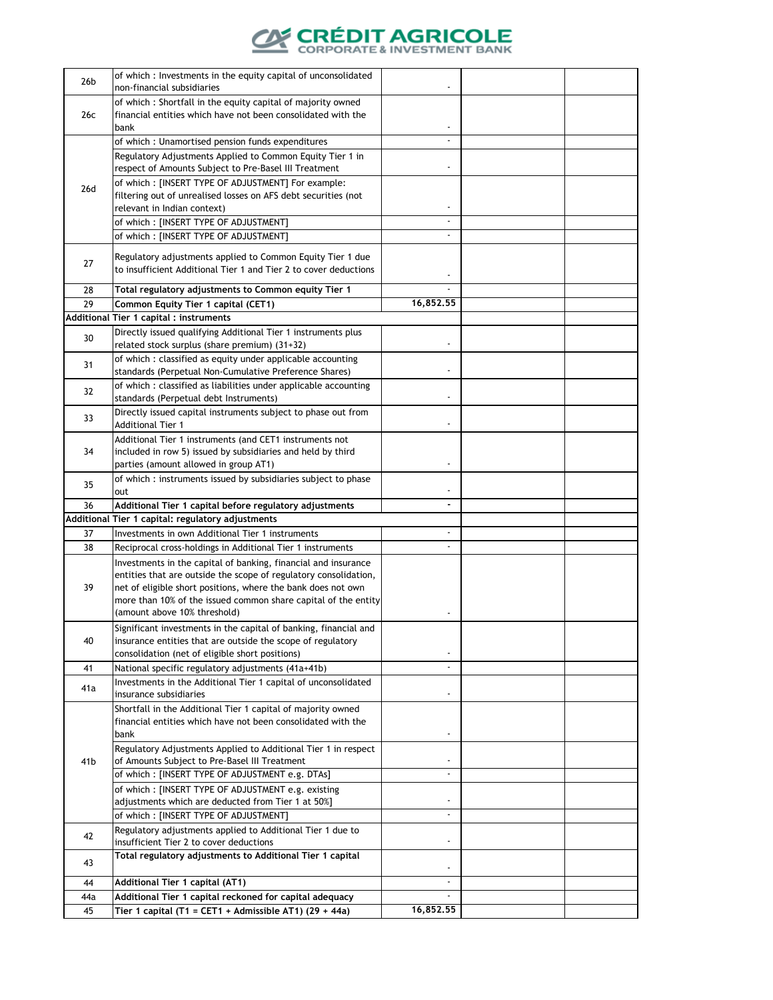

| 26 <sub>b</sub> | of which : Investments in the equity capital of unconsolidated                                                                  |                          |  |
|-----------------|---------------------------------------------------------------------------------------------------------------------------------|--------------------------|--|
|                 | non-financial subsidiaries                                                                                                      | $\overline{\phantom{a}}$ |  |
|                 | of which: Shortfall in the equity capital of majority owned                                                                     |                          |  |
| 26c             | financial entities which have not been consolidated with the<br>bank                                                            |                          |  |
|                 | of which: Unamortised pension funds expenditures                                                                                | $\overline{a}$           |  |
|                 | Regulatory Adjustments Applied to Common Equity Tier 1 in                                                                       |                          |  |
|                 | respect of Amounts Subject to Pre-Basel III Treatment                                                                           | $\overline{\phantom{a}}$ |  |
| 26d             | of which: [INSERT TYPE OF ADJUSTMENT] For example:                                                                              |                          |  |
|                 | filtering out of unrealised losses on AFS debt securities (not                                                                  |                          |  |
|                 | relevant in Indian context)                                                                                                     | $\overline{\phantom{a}}$ |  |
|                 | of which: [INSERT TYPE OF ADJUSTMENT]                                                                                           | $\overline{\phantom{a}}$ |  |
|                 | of which: [INSERT TYPE OF ADJUSTMENT]                                                                                           | $\overline{a}$           |  |
|                 | Regulatory adjustments applied to Common Equity Tier 1 due                                                                      |                          |  |
| 27              | to insufficient Additional Tier 1 and Tier 2 to cover deductions                                                                | $\overline{\phantom{a}}$ |  |
| 28              | Total regulatory adjustments to Common equity Tier 1                                                                            |                          |  |
| 29              | Common Equity Tier 1 capital (CET1)                                                                                             | 16,852.55                |  |
|                 | Additional Tier 1 capital : instruments                                                                                         |                          |  |
|                 | Directly issued qualifying Additional Tier 1 instruments plus                                                                   |                          |  |
| 30              | related stock surplus (share premium) (31+32)                                                                                   | $\overline{\phantom{a}}$ |  |
|                 | of which : classified as equity under applicable accounting                                                                     |                          |  |
| 31              | standards (Perpetual Non-Cumulative Preference Shares)                                                                          | $\overline{\phantom{a}}$ |  |
| 32              | of which: classified as liabilities under applicable accounting                                                                 |                          |  |
|                 | standards (Perpetual debt Instruments)                                                                                          | $\overline{\phantom{a}}$ |  |
| 33              | Directly issued capital instruments subject to phase out from                                                                   |                          |  |
|                 | <b>Additional Tier 1</b>                                                                                                        | $\overline{\phantom{a}}$ |  |
|                 | Additional Tier 1 instruments (and CET1 instruments not                                                                         |                          |  |
| 34              | included in row 5) issued by subsidiaries and held by third                                                                     | $\overline{\phantom{a}}$ |  |
|                 | parties (amount allowed in group AT1)<br>of which: instruments issued by subsidiaries subject to phase                          |                          |  |
| 35              | out                                                                                                                             |                          |  |
| 36              | Additional Tier 1 capital before regulatory adjustments                                                                         | $\overline{\phantom{a}}$ |  |
|                 | Additional Tier 1 capital: regulatory adjustments                                                                               |                          |  |
| 37              | Investments in own Additional Tier 1 instruments                                                                                | $\overline{\phantom{a}}$ |  |
| 38              | Reciprocal cross-holdings in Additional Tier 1 instruments                                                                      |                          |  |
|                 | Investments in the capital of banking, financial and insurance                                                                  |                          |  |
|                 | entities that are outside the scope of regulatory consolidation,                                                                |                          |  |
| 39              | net of eligible short positions, where the bank does not own                                                                    |                          |  |
|                 | more than 10% of the issued common share capital of the entity                                                                  |                          |  |
|                 | (amount above 10% threshold)                                                                                                    | $\overline{\phantom{a}}$ |  |
| 40              | Significant investments in the capital of banking, financial and<br>insurance entities that are outside the scope of regulatory |                          |  |
|                 | consolidation (net of eligible short positions)                                                                                 | $\overline{\phantom{a}}$ |  |
| 41              | National specific regulatory adjustments (41a+41b)                                                                              | $\overline{\phantom{a}}$ |  |
|                 | Investments in the Additional Tier 1 capital of unconsolidated                                                                  |                          |  |
| 41a             | insurance subsidiaries                                                                                                          | $\overline{\phantom{a}}$ |  |
|                 | Shortfall in the Additional Tier 1 capital of majority owned                                                                    |                          |  |
|                 | financial entities which have not been consolidated with the                                                                    |                          |  |
|                 | bank                                                                                                                            |                          |  |
|                 | Regulatory Adjustments Applied to Additional Tier 1 in respect                                                                  |                          |  |
| 41 <sub>b</sub> | of Amounts Subject to Pre-Basel III Treatment                                                                                   | $\overline{\phantom{a}}$ |  |
|                 | of which: [INSERT TYPE OF ADJUSTMENT e.g. DTAs]                                                                                 | $\overline{\phantom{a}}$ |  |
|                 | of which: [INSERT TYPE OF ADJUSTMENT e.g. existing<br>adjustments which are deducted from Tier 1 at 50%]                        |                          |  |
|                 | of which: [INSERT TYPE OF ADJUSTMENT]                                                                                           | $\frac{1}{2}$            |  |
|                 | Regulatory adjustments applied to Additional Tier 1 due to                                                                      |                          |  |
| 42              | insufficient Tier 2 to cover deductions                                                                                         | $\overline{\phantom{a}}$ |  |
|                 | Total regulatory adjustments to Additional Tier 1 capital                                                                       |                          |  |
| 43              |                                                                                                                                 | $\overline{\phantom{a}}$ |  |
| 44              | Additional Tier 1 capital (AT1)                                                                                                 | $\overline{\phantom{a}}$ |  |
| 44a             | Additional Tier 1 capital reckoned for capital adequacy                                                                         | $\blacksquare$           |  |
| 45              | Tier 1 capital (T1 = CET1 + Admissible AT1) (29 + 44a)                                                                          | 16,852.55                |  |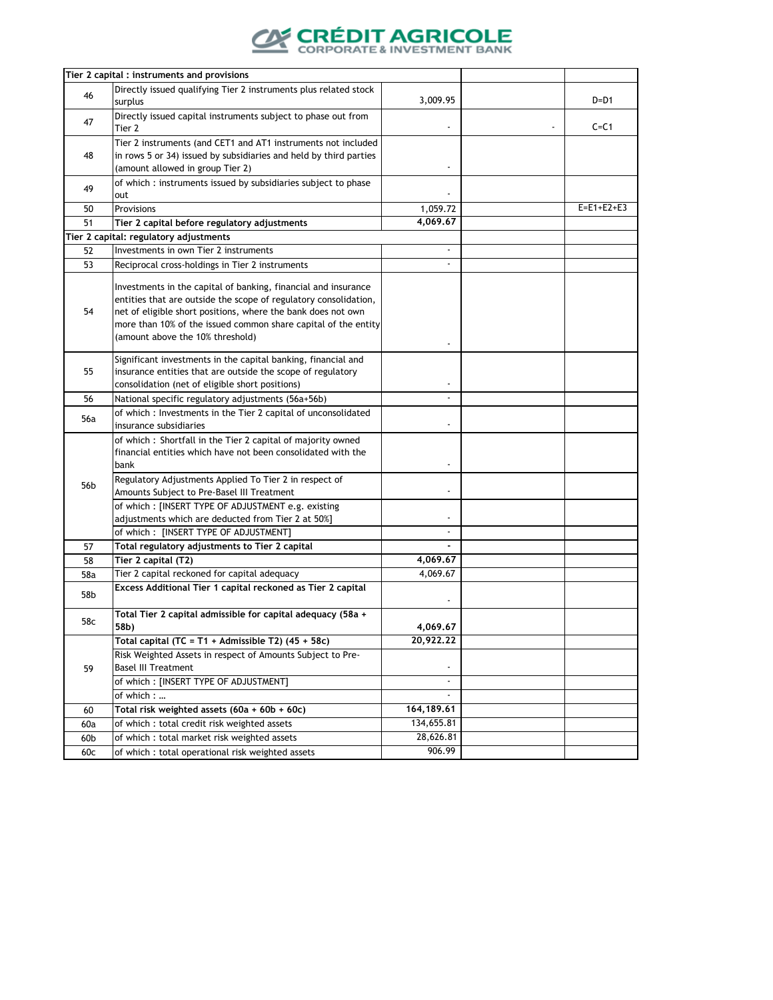

|                 | Tier 2 capital : instruments and provisions                       |                                 |                    |
|-----------------|-------------------------------------------------------------------|---------------------------------|--------------------|
|                 | Directly issued qualifying Tier 2 instruments plus related stock  |                                 |                    |
| 46              | surplus                                                           | 3,009.95                        | $D=D1$             |
|                 | Directly issued capital instruments subject to phase out from     |                                 |                    |
| 47              | Tier 2                                                            |                                 | $C = C1$           |
|                 | Tier 2 instruments (and CET1 and AT1 instruments not included     |                                 |                    |
| 48              | in rows 5 or 34) issued by subsidiaries and held by third parties |                                 |                    |
|                 | (amount allowed in group Tier 2)                                  | $\overline{\phantom{a}}$        |                    |
|                 | of which: instruments issued by subsidiaries subject to phase     |                                 |                    |
| 49              | out                                                               |                                 |                    |
| 50              | Provisions                                                        | 1,059.72                        | $E = E1 + E2 + E3$ |
| 51              | Tier 2 capital before regulatory adjustments                      | 4,069.67                        |                    |
|                 | Tier 2 capital: regulatory adjustments                            |                                 |                    |
| 52              | Investments in own Tier 2 instruments                             | $\overline{\phantom{a}}$        |                    |
| 53              | Reciprocal cross-holdings in Tier 2 instruments                   |                                 |                    |
|                 |                                                                   |                                 |                    |
|                 | Investments in the capital of banking, financial and insurance    |                                 |                    |
|                 | entities that are outside the scope of regulatory consolidation,  |                                 |                    |
| 54              | net of eligible short positions, where the bank does not own      |                                 |                    |
|                 | more than 10% of the issued common share capital of the entity    |                                 |                    |
|                 | (amount above the 10% threshold)                                  |                                 |                    |
|                 | Significant investments in the capital banking, financial and     |                                 |                    |
| 55              | insurance entities that are outside the scope of regulatory       |                                 |                    |
|                 | consolidation (net of eligible short positions)                   |                                 |                    |
| 56              | National specific regulatory adjustments (56a+56b)                |                                 |                    |
|                 | of which: Investments in the Tier 2 capital of unconsolidated     |                                 |                    |
| 56a             | insurance subsidiaries                                            | $\centering \label{eq:reduced}$ |                    |
|                 | of which: Shortfall in the Tier 2 capital of majority owned       |                                 |                    |
|                 | financial entities which have not been consolidated with the      |                                 |                    |
|                 | bank                                                              |                                 |                    |
|                 | Regulatory Adjustments Applied To Tier 2 in respect of            |                                 |                    |
| 56 <sub>b</sub> | Amounts Subject to Pre-Basel III Treatment                        |                                 |                    |
|                 | of which : [INSERT TYPE OF ADJUSTMENT e.g. existing               |                                 |                    |
|                 | adjustments which are deducted from Tier 2 at 50%]                |                                 |                    |
|                 | of which: [INSERT TYPE OF ADJUSTMENT]                             | $\blacksquare$                  |                    |
| 57              | Total regulatory adjustments to Tier 2 capital                    |                                 |                    |
| 58              | Tier 2 capital (T2)                                               | 4,069.67                        |                    |
| 58a             | Tier 2 capital reckoned for capital adequacy                      | 4,069.67                        |                    |
|                 | Excess Additional Tier 1 capital reckoned as Tier 2 capital       |                                 |                    |
| 58b             |                                                                   |                                 |                    |
|                 | Total Tier 2 capital admissible for capital adequacy (58a +       |                                 |                    |
| 58c             | 58b)                                                              | 4,069.67                        |                    |
|                 | Total capital (TC = T1 + Admissible T2) (45 + 58c)                | 20,922.22                       |                    |
|                 | Risk Weighted Assets in respect of Amounts Subject to Pre-        |                                 |                    |
| 59              | <b>Basel III Treatment</b>                                        |                                 |                    |
|                 | of which: [INSERT TYPE OF ADJUSTMENT]                             | $\blacksquare$                  |                    |
|                 | of which :                                                        |                                 |                    |
| 60              | Total risk weighted assets (60a + 60b + 60c)                      | 164,189.61                      |                    |
| 60a             | of which: total credit risk weighted assets                       | 134,655.81                      |                    |
| 60b             | of which : total market risk weighted assets                      | 28,626.81                       |                    |
| 60c             | of which : total operational risk weighted assets                 | 906.99                          |                    |
|                 |                                                                   |                                 |                    |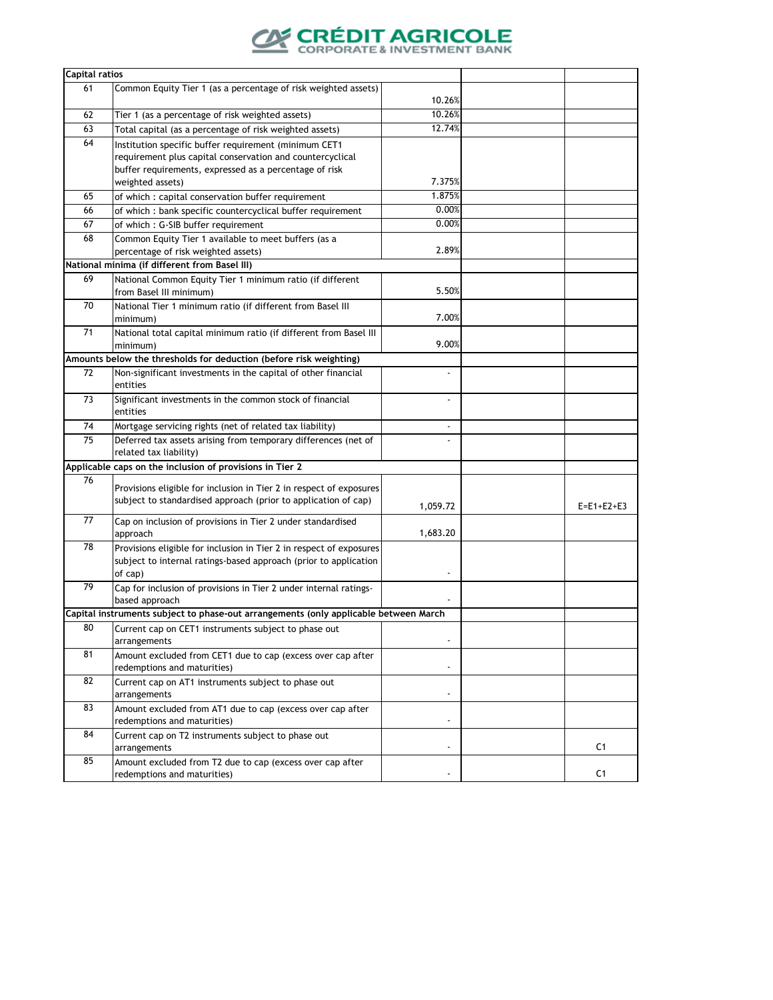

| <b>Capital ratios</b> |                                                                                      |                              |                    |
|-----------------------|--------------------------------------------------------------------------------------|------------------------------|--------------------|
| 61                    | Common Equity Tier 1 (as a percentage of risk weighted assets)                       |                              |                    |
|                       |                                                                                      | 10.26%                       |                    |
| 62                    | Tier 1 (as a percentage of risk weighted assets)                                     | 10.26%                       |                    |
| 63                    | Total capital (as a percentage of risk weighted assets)                              | 12.74%                       |                    |
| 64                    | Institution specific buffer requirement (minimum CET1                                |                              |                    |
|                       | requirement plus capital conservation and countercyclical                            |                              |                    |
|                       | buffer requirements, expressed as a percentage of risk                               |                              |                    |
|                       | weighted assets)                                                                     | 7.375%                       |                    |
| 65                    | of which : capital conservation buffer requirement                                   | 1.875%                       |                    |
| 66                    | of which : bank specific countercyclical buffer requirement                          | 0.00%                        |                    |
| 67                    | of which: G-SIB buffer requirement                                                   | 0.00%                        |                    |
| 68                    | Common Equity Tier 1 available to meet buffers (as a                                 |                              |                    |
|                       | percentage of risk weighted assets)                                                  | 2.89%                        |                    |
|                       | National minima (if different from Basel III)                                        |                              |                    |
| 69                    | National Common Equity Tier 1 minimum ratio (if different                            |                              |                    |
|                       | from Basel III minimum)                                                              | 5.50%                        |                    |
| 70                    | National Tier 1 minimum ratio (if different from Basel III                           |                              |                    |
|                       | minimum)                                                                             | 7.00%                        |                    |
| 71                    | National total capital minimum ratio (if different from Basel III                    |                              |                    |
|                       | minimum)                                                                             | 9.00%                        |                    |
|                       | Amounts below the thresholds for deduction (before risk weighting)                   |                              |                    |
| 72                    | Non-significant investments in the capital of other financial                        | $\overline{a}$               |                    |
|                       | entities                                                                             |                              |                    |
| 73                    | Significant investments in the common stock of financial                             | $\overline{a}$               |                    |
|                       | entities                                                                             |                              |                    |
| 74                    | Mortgage servicing rights (net of related tax liability)                             | $\overline{\phantom{a}}$     |                    |
| 75                    | Deferred tax assets arising from temporary differences (net of                       | $\overline{\phantom{a}}$     |                    |
|                       | related tax liability)                                                               |                              |                    |
|                       | Applicable caps on the inclusion of provisions in Tier 2                             |                              |                    |
| 76                    |                                                                                      |                              |                    |
|                       | Provisions eligible for inclusion in Tier 2 in respect of exposures                  |                              |                    |
|                       | subject to standardised approach (prior to application of cap)                       | 1,059.72                     | $E = E1 + E2 + E3$ |
| 77                    | Cap on inclusion of provisions in Tier 2 under standardised                          |                              |                    |
|                       | approach                                                                             | 1,683.20                     |                    |
| 78                    | Provisions eligible for inclusion in Tier 2 in respect of exposures                  |                              |                    |
|                       | subject to internal ratings-based approach (prior to application                     |                              |                    |
|                       | of cap)                                                                              |                              |                    |
| 79                    | Cap for inclusion of provisions in Tier 2 under internal ratings-                    |                              |                    |
|                       | based approach                                                                       |                              |                    |
|                       | Capital instruments subject to phase-out arrangements (only applicable between March |                              |                    |
| 80                    | Current cap on CET1 instruments subject to phase out                                 |                              |                    |
|                       | arrangements                                                                         | $\overline{\phantom{a}}$     |                    |
| 81                    | Amount excluded from CET1 due to cap (excess over cap after                          |                              |                    |
|                       | redemptions and maturities)                                                          | $\overline{\phantom{a}}$     |                    |
| 82                    | Current cap on AT1 instruments subject to phase out                                  |                              |                    |
|                       | arrangements                                                                         | $\overline{\phantom{a}}$     |                    |
| 83                    | Amount excluded from AT1 due to cap (excess over cap after                           |                              |                    |
|                       | redemptions and maturities)                                                          | ۰                            |                    |
| 84                    | Current cap on T2 instruments subject to phase out                                   |                              |                    |
|                       | arrangements                                                                         | $\overline{\phantom{a}}$     | C <sub>1</sub>     |
| 85                    | Amount excluded from T2 due to cap (excess over cap after                            |                              |                    |
|                       | redemptions and maturities)                                                          | $\qquad \qquad \blacksquare$ | C <sub>1</sub>     |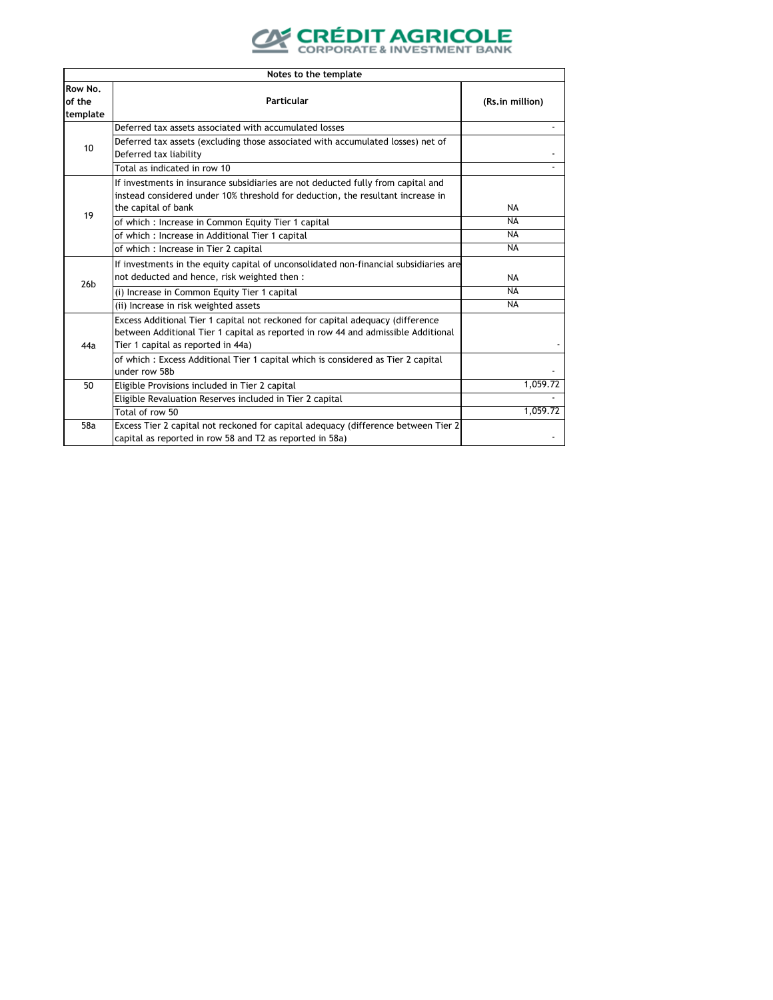

|                               | Notes to the template                                                                                                                                                                                     |                 |
|-------------------------------|-----------------------------------------------------------------------------------------------------------------------------------------------------------------------------------------------------------|-----------------|
| Row No.<br>of the<br>template | Particular                                                                                                                                                                                                | (Rs.in million) |
|                               | Deferred tax assets associated with accumulated losses                                                                                                                                                    |                 |
| 10 <sup>1</sup>               | Deferred tax assets (excluding those associated with accumulated losses) net of<br>Deferred tax liability                                                                                                 |                 |
|                               | Total as indicated in row 10                                                                                                                                                                              | $\blacksquare$  |
|                               | If investments in insurance subsidiaries are not deducted fully from capital and<br>instead considered under 10% threshold for deduction, the resultant increase in<br>the capital of bank                | <b>NA</b>       |
| 19                            | of which: Increase in Common Equity Tier 1 capital                                                                                                                                                        | <b>NA</b>       |
|                               | of which : Increase in Additional Tier 1 capital                                                                                                                                                          | <b>NA</b>       |
|                               | of which: Increase in Tier 2 capital                                                                                                                                                                      | <b>NA</b>       |
| 26 <sub>b</sub>               | If investments in the equity capital of unconsolidated non-financial subsidiaries are<br>not deducted and hence, risk weighted then :                                                                     | <b>NA</b>       |
|                               | (i) Increase in Common Equity Tier 1 capital                                                                                                                                                              | <b>NA</b>       |
|                               | (ii) Increase in risk weighted assets                                                                                                                                                                     | <b>NA</b>       |
| 44a                           | Excess Additional Tier 1 capital not reckoned for capital adequacy (difference<br>between Additional Tier 1 capital as reported in row 44 and admissible Additional<br>Tier 1 capital as reported in 44a) |                 |
|                               | of which: Excess Additional Tier 1 capital which is considered as Tier 2 capital<br>under row 58b                                                                                                         |                 |
| 50                            | Eligible Provisions included in Tier 2 capital                                                                                                                                                            | 1,059.72        |
|                               | Eligible Revaluation Reserves included in Tier 2 capital                                                                                                                                                  |                 |
|                               | Total of row 50                                                                                                                                                                                           | 1.059.72        |
| 58a                           | Excess Tier 2 capital not reckoned for capital adequacy (difference between Tier 2<br>capital as reported in row 58 and T2 as reported in 58a)                                                            |                 |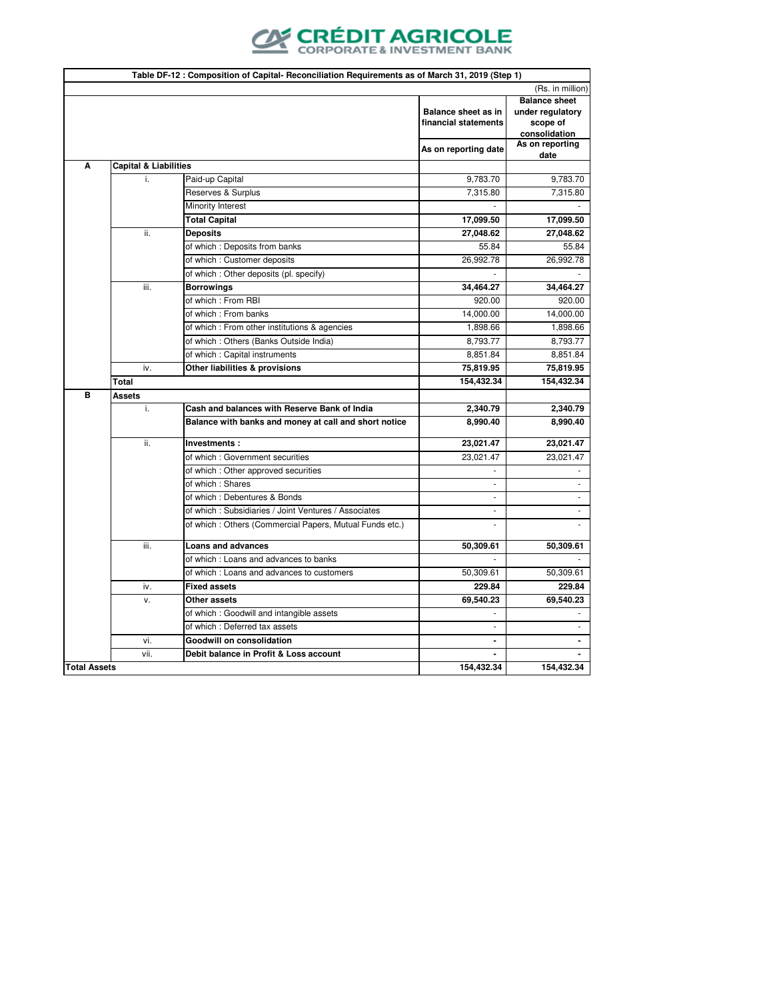

|   |                                  |                                                          | Balance sheet as in<br>financial statements<br>As on reporting date | (Rs. in million)<br><b>Balance sheet</b><br>under regulatory<br>scope of<br>consolidation<br>As on reporting |
|---|----------------------------------|----------------------------------------------------------|---------------------------------------------------------------------|--------------------------------------------------------------------------------------------------------------|
|   | <b>Capital &amp; Liabilities</b> |                                                          |                                                                     | date                                                                                                         |
|   | i.                               | Paid-up Capital                                          | 9,783.70                                                            | 9,783.70                                                                                                     |
|   |                                  | Reserves & Surplus                                       | 7,315.80                                                            | 7,315.80                                                                                                     |
|   |                                  | Minority Interest                                        |                                                                     |                                                                                                              |
|   |                                  | <b>Total Capital</b>                                     | 17,099.50                                                           | 17,099.50                                                                                                    |
|   | ii.                              | Deposits                                                 | 27,048.62                                                           | 27,048.62                                                                                                    |
|   |                                  | of which: Deposits from banks                            | 55.84                                                               | 55.84                                                                                                        |
|   |                                  | of which: Customer deposits                              | 26,992.78                                                           | 26,992.78                                                                                                    |
|   |                                  | of which: Other deposits (pl. specify)                   |                                                                     |                                                                                                              |
|   | iii.                             | <b>Borrowings</b>                                        | 34,464.27                                                           | 34,464.27                                                                                                    |
|   |                                  | of which : From RBI                                      | 920.00                                                              | 920.00                                                                                                       |
|   |                                  | of which: From banks                                     | 14,000.00                                                           | 14,000.00                                                                                                    |
|   |                                  | of which : From other institutions & agencies            | 1,898.66                                                            | 1,898.66                                                                                                     |
|   |                                  | of which: Others (Banks Outside India)                   | 8,793.77                                                            | 8,793.77                                                                                                     |
|   |                                  | of which: Capital instruments                            | 8,851.84                                                            | 8,851.84                                                                                                     |
|   | iv.                              | Other liabilities & provisions                           | 75,819.95                                                           | 75,819.95                                                                                                    |
|   | Total                            |                                                          | 154,432.34                                                          | 154,432.34                                                                                                   |
| B | Assets                           |                                                          |                                                                     |                                                                                                              |
|   | i.                               | Cash and balances with Reserve Bank of India             | 2,340.79                                                            | 2,340.79                                                                                                     |
|   |                                  | Balance with banks and money at call and short notice    | 8,990.40                                                            | 8,990.40                                                                                                     |
|   | ii.                              | Investments:                                             | 23,021.47                                                           | 23,021.47                                                                                                    |
|   |                                  | of which: Government securities                          | 23,021.47                                                           | 23,021.47                                                                                                    |
|   |                                  | of which: Other approved securities                      | ٠                                                                   |                                                                                                              |
|   |                                  | of which: Shares                                         | ÷.                                                                  | $\overline{\phantom{a}}$                                                                                     |
|   |                                  | of which: Debentures & Bonds                             | $\sim$                                                              |                                                                                                              |
|   |                                  | of which: Subsidiaries / Joint Ventures / Associates     | $\sim$                                                              | ٠                                                                                                            |
|   |                                  | of which : Others (Commercial Papers, Mutual Funds etc.) | $\sim$                                                              |                                                                                                              |
|   | iii.                             | <b>Loans and advances</b>                                | 50,309.61                                                           | 50,309.61                                                                                                    |
|   |                                  | of which: Loans and advances to banks                    |                                                                     |                                                                                                              |
|   |                                  | of which: Loans and advances to customers                | 50,309.61                                                           | 50,309.61                                                                                                    |
|   | iv.                              | <b>Fixed assets</b>                                      | 229.84                                                              | 229.84                                                                                                       |
|   | v.                               | Other assets                                             | 69,540.23                                                           | 69,540.23                                                                                                    |
|   |                                  | of which : Goodwill and intangible assets                | $\sim$                                                              |                                                                                                              |
|   |                                  | of which: Deferred tax assets                            |                                                                     |                                                                                                              |
|   | vi.                              | <b>Goodwill on consolidation</b>                         | $\blacksquare$                                                      | $\blacksquare$                                                                                               |
|   | vii.                             | Debit balance in Profit & Loss account                   |                                                                     |                                                                                                              |
|   | <b>Total Assets</b>              |                                                          | 154,432.34                                                          | 154,432.34                                                                                                   |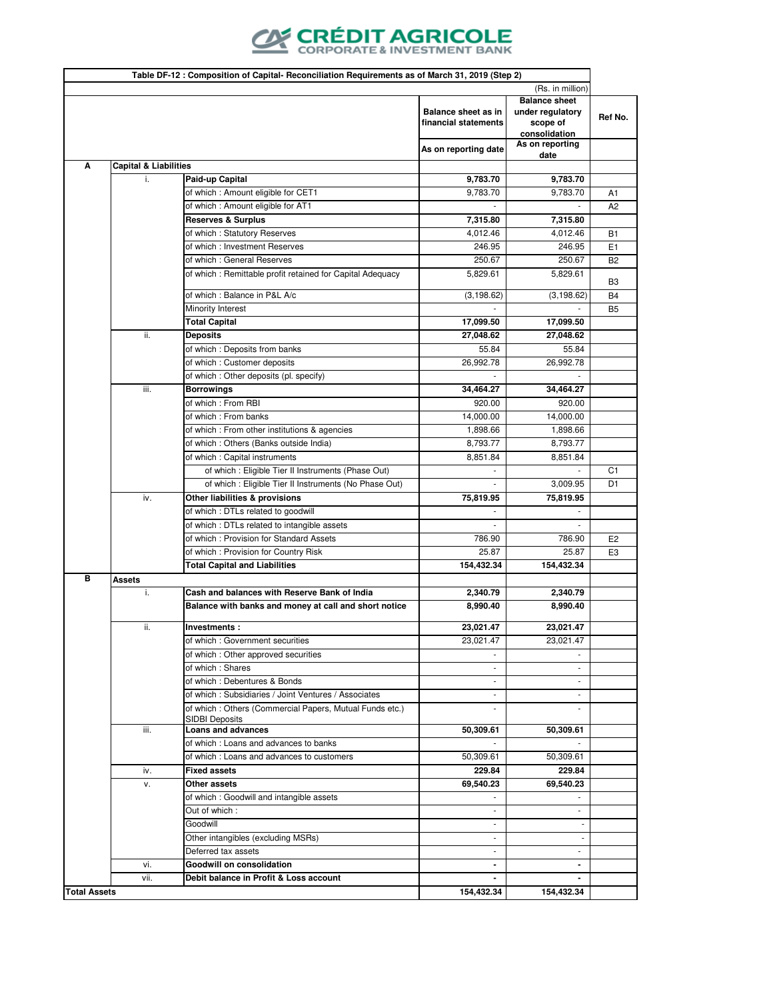

| Table DF-12 : Composition of Capital- Reconciliation Requirements as of March 31, 2019 (Step 2) |                                  |                                                           |                                             |                                                                       |                |
|-------------------------------------------------------------------------------------------------|----------------------------------|-----------------------------------------------------------|---------------------------------------------|-----------------------------------------------------------------------|----------------|
|                                                                                                 | (Rs. in million)                 |                                                           |                                             |                                                                       |                |
|                                                                                                 |                                  |                                                           | Balance sheet as in<br>financial statements | <b>Balance sheet</b><br>under regulatory<br>scope of<br>consolidation | Ref No.        |
|                                                                                                 |                                  |                                                           | As on reporting date                        | As on reporting<br>date                                               |                |
| Α                                                                                               | <b>Capital &amp; Liabilities</b> |                                                           |                                             |                                                                       |                |
|                                                                                                 | i.                               | Paid-up Capital                                           | 9,783.70                                    | 9,783.70                                                              |                |
|                                                                                                 |                                  | of which: Amount eligible for CET1                        | 9,783.70                                    | 9,783.70                                                              | A1             |
|                                                                                                 |                                  | of which : Amount eligible for AT1                        |                                             |                                                                       | A <sub>2</sub> |
|                                                                                                 |                                  | <b>Reserves &amp; Surplus</b>                             | 7,315.80                                    | 7,315.80                                                              |                |
|                                                                                                 |                                  | of which: Statutory Reserves                              | 4,012.46                                    | 4,012.46                                                              | <b>B1</b>      |
|                                                                                                 |                                  | of which: Investment Reserves                             | 246.95                                      | 246.95                                                                | E <sub>1</sub> |
|                                                                                                 |                                  | of which: General Reserves                                | 250.67                                      | 250.67                                                                | B <sub>2</sub> |
|                                                                                                 |                                  | of which: Remittable profit retained for Capital Adequacy | 5,829.61                                    | 5,829.61                                                              | B <sub>3</sub> |
|                                                                                                 |                                  | of which: Balance in P&L A/c                              | (3, 198.62)                                 | (3, 198.62)                                                           | B4             |
|                                                                                                 |                                  | Minority Interest                                         |                                             |                                                                       | B <sub>5</sub> |
|                                                                                                 |                                  | <b>Total Capital</b>                                      | 17,099.50                                   | 17,099.50                                                             |                |
|                                                                                                 | ii.                              | <b>Deposits</b>                                           | 27,048.62                                   | 27,048.62                                                             |                |
|                                                                                                 |                                  | of which: Deposits from banks                             | 55.84                                       | 55.84                                                                 |                |
|                                                                                                 |                                  | of which : Customer deposits                              | 26,992.78                                   | 26,992.78                                                             |                |
|                                                                                                 |                                  | of which : Other deposits (pl. specify)                   |                                             | 34,464.27                                                             |                |
|                                                                                                 | iii.                             | <b>Borrowings</b><br>of which: From RBI                   | 34,464.27<br>920.00                         | 920.00                                                                |                |
|                                                                                                 |                                  | of which: From banks                                      | 14,000.00                                   | 14,000.00                                                             |                |
|                                                                                                 |                                  | of which : From other institutions & agencies             | 1,898.66                                    | 1,898.66                                                              |                |
|                                                                                                 |                                  | of which: Others (Banks outside India)                    | 8,793.77                                    | 8,793.77                                                              |                |
|                                                                                                 |                                  | of which: Capital instruments                             | 8,851.84                                    | 8,851.84                                                              |                |
|                                                                                                 |                                  | of which : Eligible Tier II Instruments (Phase Out)       | $\sim$                                      | $\overline{\phantom{a}}$                                              | C <sub>1</sub> |
|                                                                                                 |                                  | of which : Eligible Tier II Instruments (No Phase Out)    |                                             | 3,009.95                                                              | D <sub>1</sub> |
|                                                                                                 | iv.                              | Other liabilities & provisions                            | 75,819.95                                   | 75,819.95                                                             |                |
|                                                                                                 |                                  | of which: DTLs related to goodwill                        |                                             |                                                                       |                |
|                                                                                                 |                                  | of which: DTLs related to intangible assets               |                                             |                                                                       |                |
|                                                                                                 |                                  | of which: Provision for Standard Assets                   | 786.90                                      | 786.90                                                                | E <sub>2</sub> |
|                                                                                                 |                                  | of which: Provision for Country Risk                      | 25.87                                       | 25.87                                                                 | E3             |
|                                                                                                 |                                  | <b>Total Capital and Liabilities</b>                      | 154,432.34                                  | 154,432.34                                                            |                |
| в                                                                                               | <b>Assets</b>                    |                                                           |                                             |                                                                       |                |
|                                                                                                 | i.                               | Cash and balances with Reserve Bank of India              | 2,340.79                                    | 2,340.79                                                              |                |
|                                                                                                 |                                  | Balance with banks and money at call and short notice     | 8,990.40                                    | 8,990.40                                                              |                |
|                                                                                                 | ii.                              | Investments:                                              | 23.021.47                                   | 23,021.47                                                             |                |
|                                                                                                 |                                  | of which : Government securities                          | 23,021.47                                   | 23,021.47                                                             |                |
|                                                                                                 |                                  | of which: Other approved securities                       |                                             |                                                                       |                |
|                                                                                                 |                                  | of which: Shares                                          | ÷                                           | ٠                                                                     |                |
|                                                                                                 |                                  | of which: Debentures & Bonds                              | $\overline{\phantom{a}}$                    |                                                                       |                |
|                                                                                                 |                                  | of which: Subsidiaries / Joint Ventures / Associates      | $\overline{\phantom{m}}$                    |                                                                       |                |
|                                                                                                 |                                  | of which: Others (Commercial Papers, Mutual Funds etc.)   |                                             |                                                                       |                |
|                                                                                                 | iii.                             | <b>SIDBI Deposits</b><br><b>Loans and advances</b>        | 50,309.61                                   | 50,309.61                                                             |                |
|                                                                                                 |                                  | of which: Loans and advances to banks                     |                                             |                                                                       |                |
|                                                                                                 |                                  | of which: Loans and advances to customers                 | 50,309.61                                   | 50,309.61                                                             |                |
|                                                                                                 | iv.                              | <b>Fixed assets</b>                                       | 229.84                                      | 229.84                                                                |                |
|                                                                                                 | v.                               | Other assets                                              | 69,540.23                                   | 69,540.23                                                             |                |
|                                                                                                 |                                  | of which: Goodwill and intangible assets                  |                                             |                                                                       |                |
|                                                                                                 |                                  | Out of which:                                             | ٠                                           | $\overline{\phantom{a}}$                                              |                |
|                                                                                                 |                                  | Goodwill                                                  | ٠                                           |                                                                       |                |
|                                                                                                 |                                  | Other intangibles (excluding MSRs)                        | ٠                                           |                                                                       |                |
|                                                                                                 |                                  | Deferred tax assets                                       | ÷                                           | ٠                                                                     |                |
|                                                                                                 | vi.                              | <b>Goodwill on consolidation</b>                          | $\blacksquare$                              | ۰.                                                                    |                |
|                                                                                                 | vii.                             | Debit balance in Profit & Loss account                    | $\qquad \qquad \blacksquare$                |                                                                       |                |
| <b>Total Assets</b>                                                                             |                                  |                                                           | 154,432.34                                  | 154,432.34                                                            |                |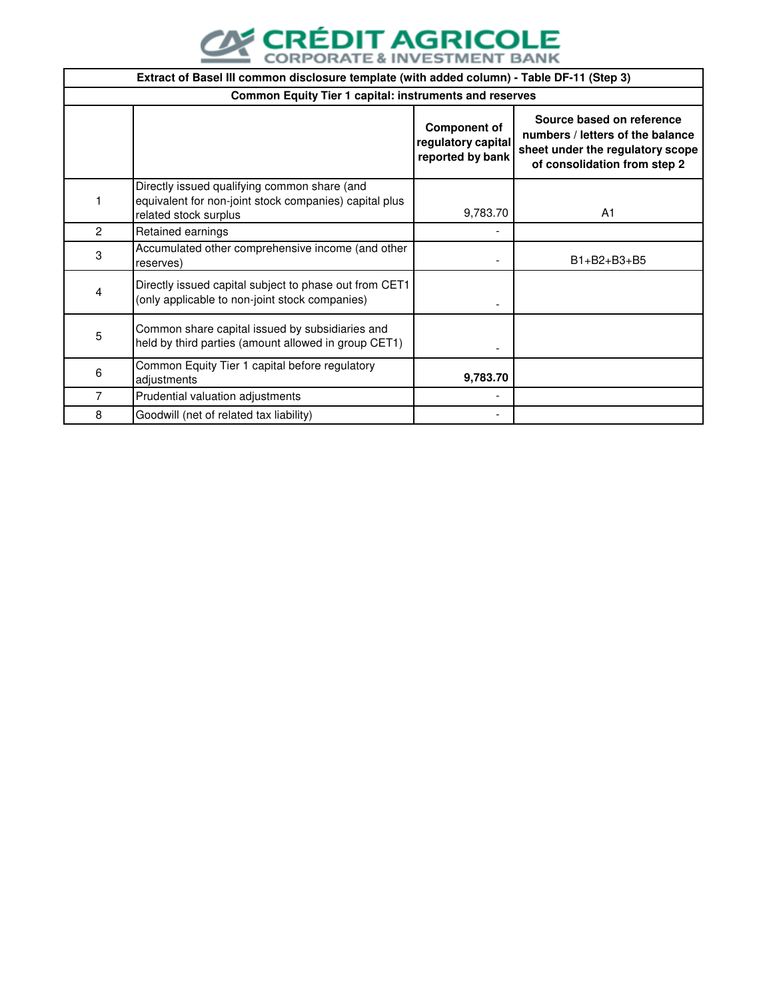

|   | Extract of Basel III common disclosure template (with added column) - Table DF-11 (Step 3)                                      |                                                               |                                                                                                                                   |  |  |  |
|---|---------------------------------------------------------------------------------------------------------------------------------|---------------------------------------------------------------|-----------------------------------------------------------------------------------------------------------------------------------|--|--|--|
|   | <b>Common Equity Tier 1 capital: instruments and reserves</b>                                                                   |                                                               |                                                                                                                                   |  |  |  |
|   |                                                                                                                                 | <b>Component of</b><br>regulatory capital<br>reported by bank | Source based on reference<br>numbers / letters of the balance<br>sheet under the regulatory scope<br>of consolidation from step 2 |  |  |  |
|   | Directly issued qualifying common share (and<br>equivalent for non-joint stock companies) capital plus<br>related stock surplus | 9,783.70                                                      | A <sub>1</sub>                                                                                                                    |  |  |  |
| 2 | Retained earnings                                                                                                               |                                                               |                                                                                                                                   |  |  |  |
| 3 | Accumulated other comprehensive income (and other<br>reserves)                                                                  |                                                               | $B1 + B2 + B3 + B5$                                                                                                               |  |  |  |
| 4 | Directly issued capital subject to phase out from CET1<br>(only applicable to non-joint stock companies)                        |                                                               |                                                                                                                                   |  |  |  |
| 5 | Common share capital issued by subsidiaries and<br>held by third parties (amount allowed in group CET1)                         |                                                               |                                                                                                                                   |  |  |  |
| 6 | Common Equity Tier 1 capital before regulatory<br>adjustments                                                                   | 9,783.70                                                      |                                                                                                                                   |  |  |  |
| 7 | Prudential valuation adjustments                                                                                                |                                                               |                                                                                                                                   |  |  |  |
| 8 | Goodwill (net of related tax liability)                                                                                         |                                                               |                                                                                                                                   |  |  |  |